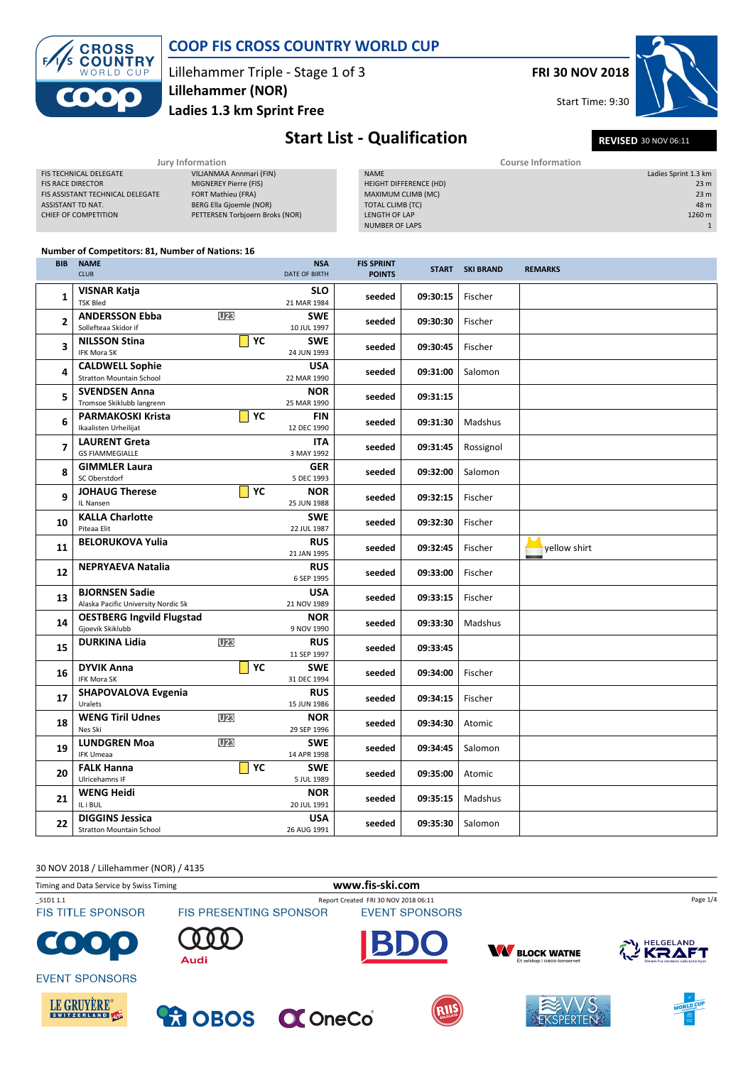

### COOP FIS CROSS COUNTRY WORLD CUP

Lillehammer Triple - Stage 1 of 3 Lillehammer (NOR)

Ladies 1.3 km Sprint Free

FRI 30 NOV 2018

Start Time: 9:30



## Start List - Qualification REVISED 30 NOV 06:11

|                                  | Jury Information                | Course Information     |  |                      |  |
|----------------------------------|---------------------------------|------------------------|--|----------------------|--|
| <b>FIS TECHNICAL DELEGATE</b>    | VILJANMAA Annmari (FIN)         | <b>NAME</b>            |  | Ladies Sprint 1.3 km |  |
| <b>FIS RACE DIRECTOR</b>         | MIGNEREY Pierre (FIS)           | HEIGHT DIFFERENCE (HD) |  | 23 <sub>m</sub>      |  |
| FIS ASSISTANT TECHNICAL DELEGATE | FORT Mathieu (FRA)              | MAXIMUM CLIMB (MC)     |  | 23 <sub>m</sub>      |  |
| ASSISTANT TD NAT.                | BERG Ella Gjoemle (NOR)         | TOTAL CLIMB (TC)       |  | 48 m                 |  |
| CHIEF OF COMPETITION             | PETTERSEN Torbjoern Broks (NOR) | LENGTH OF LAP          |  | 1260 m               |  |
|                                  |                                 | <b>NUMBER OF LAPS</b>  |  |                      |  |
|                                  |                                 |                        |  |                      |  |

#### Number of Competitors: 81, Number of Nations: 16

| <b>BIB</b>     | <b>NAME</b><br><b>CLUB</b>                                   |                  | <b>NSA</b><br><b>DATE OF BIRTH</b> | <b>FIS SPRINT</b><br><b>POINTS</b> |          | <b>START SKI BRAND</b> | <b>REMARKS</b> |
|----------------|--------------------------------------------------------------|------------------|------------------------------------|------------------------------------|----------|------------------------|----------------|
| 1              | <b>VISNAR Katja</b><br><b>TSK Bled</b>                       |                  | <b>SLO</b><br>21 MAR 1984          | seeded                             | 09:30:15 | Fischer                |                |
| $\overline{2}$ | <b>ANDERSSON Ebba</b><br>Sollefteaa Skidor if                | U23              | <b>SWE</b><br>10 JUL 1997          | seeded                             | 09:30:30 | Fischer                |                |
| 3              | <b>NILSSON Stina</b><br>IFK Mora SK                          | $\mathsf{YC}$    | <b>SWE</b><br>24 JUN 1993          | seeded                             | 09:30:45 | Fischer                |                |
| 4              | <b>CALDWELL Sophie</b><br><b>Stratton Mountain School</b>    |                  | <b>USA</b><br>22 MAR 1990          | seeded                             | 09:31:00 | Salomon                |                |
| 5              | <b>SVENDSEN Anna</b><br>Tromsoe Skiklubb langrenn            |                  | <b>NOR</b><br>25 MAR 1990          | seeded                             | 09:31:15 |                        |                |
| 6              | <b>PARMAKOSKI Krista</b><br>Ikaalisten Urheilijat            | YC               | <b>FIN</b><br>12 DEC 1990          | seeded                             | 09:31:30 | Madshus                |                |
| 7              | <b>LAURENT Greta</b><br><b>GS FIAMMEGIALLE</b>               |                  | <b>ITA</b><br>3 MAY 1992           | seeded                             | 09:31:45 | Rossignol              |                |
| 8              | <b>GIMMLER Laura</b><br>SC Oberstdorf                        |                  | <b>GER</b><br>5 DEC 1993           | seeded                             | 09:32:00 | Salomon                |                |
| 9              | <b>JOHAUG Therese</b><br>IL Nansen                           | $\vert \vert$ YC | <b>NOR</b><br>25 JUN 1988          | seeded                             | 09:32:15 | Fischer                |                |
| 10             | <b>KALLA Charlotte</b><br>Piteaa Elit                        |                  | <b>SWE</b><br>22 JUL 1987          | seeded                             | 09:32:30 | Fischer                |                |
| 11             | <b>BELORUKOVA Yulia</b>                                      |                  | <b>RUS</b><br>21 JAN 1995          | seeded                             | 09:32:45 | Fischer                | vellow shirt   |
| 12             | <b>NEPRYAEVA Natalia</b>                                     |                  | <b>RUS</b><br>6 SEP 1995           | seeded                             | 09:33:00 | Fischer                |                |
| 13             | <b>BJORNSEN Sadie</b><br>Alaska Pacific University Nordic Sk |                  | <b>USA</b><br>21 NOV 1989          | seeded                             | 09:33:15 | Fischer                |                |
| 14             | <b>OESTBERG Ingvild Flugstad</b><br>Gjoevik Skiklubb         |                  | <b>NOR</b><br>9 NOV 1990           | seeded                             | 09:33:30 | Madshus                |                |
| 15             | <b>DURKINA Lidia</b>                                         | <b>U23</b>       | <b>RUS</b><br>11 SEP 1997          | seeded                             | 09:33:45 |                        |                |
| 16             | <b>DYVIK Anna</b><br><b>IFK Mora SK</b>                      | YC               | <b>SWE</b><br>31 DEC 1994          | seeded                             | 09:34:00 | Fischer                |                |
| 17             | <b>SHAPOVALOVA Evgenia</b><br>Uralets                        |                  | <b>RUS</b><br>15 JUN 1986          | seeded                             | 09:34:15 | Fischer                |                |
| 18             | <b>WENG Tiril Udnes</b><br>Nes Ski                           | U23              | <b>NOR</b><br>29 SEP 1996          | seeded                             | 09:34:30 | Atomic                 |                |
| 19             | <b>LUNDGREN Moa</b><br><b>IFK Umeaa</b>                      | U <sub>23</sub>  | <b>SWE</b><br>14 APR 1998          | seeded                             | 09:34:45 | Salomon                |                |
| 20             | <b>FALK Hanna</b><br>Ulricehamns IF                          | YC               | <b>SWE</b><br>5 JUL 1989           | seeded                             | 09:35:00 | Atomic                 |                |
| 21             | <b>WENG Heidi</b><br>IL i BUL                                |                  | <b>NOR</b><br>20 JUL 1991          | seeded                             | 09:35:15 | Madshus                |                |
| 22             | <b>DIGGINS Jessica</b><br><b>Stratton Mountain School</b>    |                  | <b>USA</b><br>26 AUG 1991          | seeded                             | 09:35:30 | Salomon                |                |

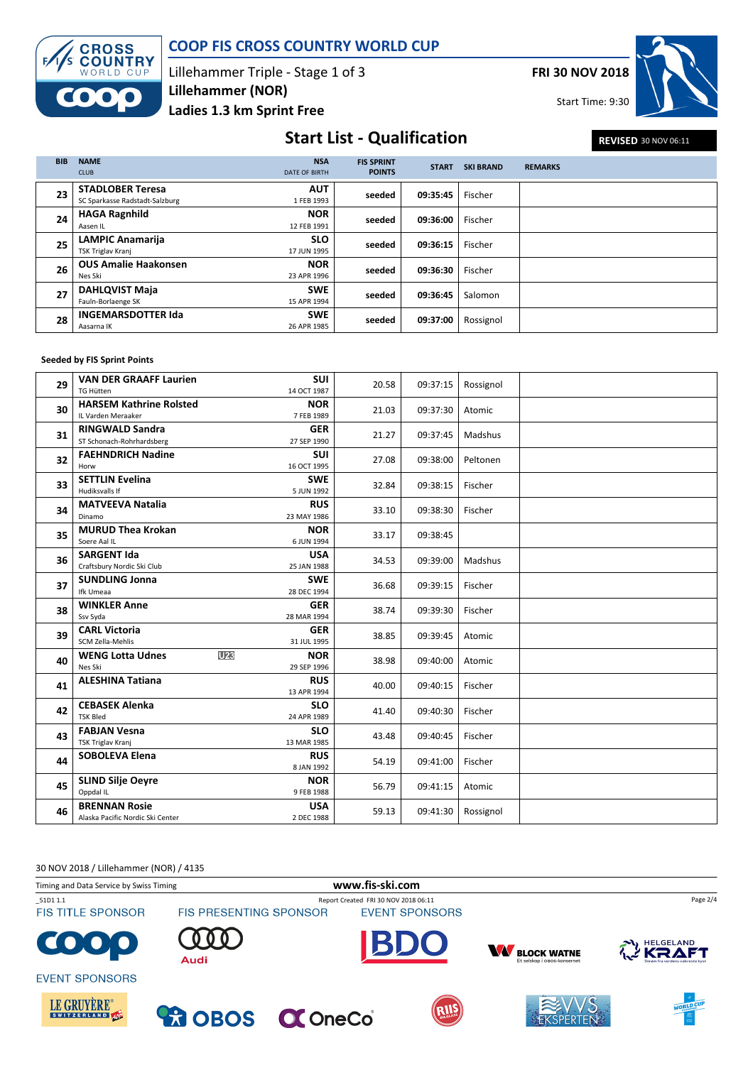

### COOP FIS CROSS COUNTRY WORLD CUP

Lillehammer Triple - Stage 1 of 3 Ladies 1.3 km Sprint Free Lillehammer (NOR)

FRI 30 NOV 2018

Start Time: 9:30



## Start List - Qualification REVISED 30 NOV 06:11

| <b>BIB</b> | <b>NAME</b><br><b>CLUB</b>                                | <b>NSA</b><br><b>DATE OF BIRTH</b> | <b>FIS SPRINT</b><br><b>POINTS</b> | <b>START</b> | <b>SKI BRAND</b> | <b>REMARKS</b> |
|------------|-----------------------------------------------------------|------------------------------------|------------------------------------|--------------|------------------|----------------|
| 23         | <b>STADLOBER Teresa</b><br>SC Sparkasse Radstadt-Salzburg | <b>AUT</b><br>1 FEB 1993           | seeded                             | 09:35:45     | Fischer          |                |
| 24         | <b>HAGA Ragnhild</b><br>Aasen IL                          | <b>NOR</b><br>12 FEB 1991          | seeded                             | 09:36:00     | Fischer          |                |
| 25         | <b>LAMPIC Anamarija</b><br>TSK Triglav Kranj              | <b>SLO</b><br>17 JUN 1995          | seeded                             | 09:36:15     | Fischer          |                |
| 26         | <b>OUS Amalie Haakonsen</b><br>Nes Ski                    | <b>NOR</b><br>23 APR 1996          | seeded                             | 09:36:30     | Fischer          |                |
| 27         | <b>DAHLQVIST Maja</b><br>Fauln-Borlaenge SK               | <b>SWE</b><br>15 APR 1994          | seeded                             | 09:36:45     | Salomon          |                |
| 28         | <b>INGEMARSDOTTER Ida</b><br>Aasarna IK                   | <b>SWE</b><br>26 APR 1985          | seeded                             | 09:37:00     | Rossignol        |                |

### Seeded by FIS Sprint Points

| 29 | <b>VAN DER GRAAFF Laurien</b><br><b>TG Hütten</b> | SUI                           | 20.58 | 09:37:15 | Rossignol |  |
|----|---------------------------------------------------|-------------------------------|-------|----------|-----------|--|
|    | <b>HARSEM Kathrine Rolsted</b>                    | 14 OCT 1987<br><b>NOR</b>     |       |          |           |  |
| 30 | IL Varden Meraaker                                | 7 FEB 1989                    | 21.03 | 09:37:30 | Atomic    |  |
|    | <b>RINGWALD Sandra</b>                            | <b>GER</b>                    |       |          |           |  |
| 31 | ST Schonach-Rohrhardsberg                         | 27 SEP 1990                   | 21.27 | 09:37:45 | Madshus   |  |
|    | <b>FAEHNDRICH Nadine</b>                          | <b>SUI</b>                    |       |          |           |  |
| 32 | Horw                                              | 16 OCT 1995                   | 27.08 | 09:38:00 | Peltonen  |  |
|    | <b>SETTLIN Evelina</b>                            | <b>SWE</b>                    |       |          |           |  |
| 33 | Hudiksvalls If                                    | 5 JUN 1992                    | 32.84 | 09:38:15 | Fischer   |  |
| 34 | <b>MATVEEVA Natalia</b>                           | <b>RUS</b>                    | 33.10 | 09:38:30 | Fischer   |  |
|    | Dinamo                                            | 23 MAY 1986                   |       |          |           |  |
| 35 | <b>MURUD Thea Krokan</b>                          | <b>NOR</b>                    | 33.17 | 09:38:45 |           |  |
|    | Soere Aal IL                                      | 6 JUN 1994                    |       |          |           |  |
| 36 | <b>SARGENT Ida</b>                                | <b>USA</b>                    | 34.53 | 09:39:00 | Madshus   |  |
|    | Craftsbury Nordic Ski Club                        | 25 JAN 1988                   |       |          |           |  |
| 37 | <b>SUNDLING Jonna</b>                             | <b>SWE</b>                    | 36.68 | 09:39:15 | Fischer   |  |
|    | Ifk Umeaa                                         | 28 DEC 1994                   |       |          |           |  |
| 38 | <b>WINKLER Anne</b><br>Ssv Syda                   | <b>GER</b><br>28 MAR 1994     | 38.74 | 09:39:30 | Fischer   |  |
|    | <b>CARL Victoria</b>                              | <b>GER</b>                    |       |          |           |  |
| 39 | SCM Zella-Mehlis                                  | 31 JUL 1995                   | 38.85 | 09:39:45 | Atomic    |  |
|    | <b>WENG Lotta Udnes</b>                           | U <sub>23</sub><br><b>NOR</b> |       |          |           |  |
| 40 | Nes Ski                                           | 29 SEP 1996                   | 38.98 | 09:40:00 | Atomic    |  |
| 41 | <b>ALESHINA Tatiana</b>                           | <b>RUS</b>                    | 40.00 |          | Fischer   |  |
|    |                                                   | 13 APR 1994                   |       | 09:40:15 |           |  |
| 42 | <b>CEBASEK Alenka</b>                             | <b>SLO</b>                    | 41.40 | 09:40:30 | Fischer   |  |
|    | <b>TSK Bled</b>                                   | 24 APR 1989                   |       |          |           |  |
| 43 | <b>FABJAN Vesna</b>                               | <b>SLO</b>                    | 43.48 | 09:40:45 | Fischer   |  |
|    | TSK Triglav Kranj                                 | 13 MAR 1985                   |       |          |           |  |
| 44 | <b>SOBOLEVA Elena</b>                             | <b>RUS</b>                    | 54.19 | 09:41:00 | Fischer   |  |
|    |                                                   | 8 JAN 1992                    |       |          |           |  |
| 45 | <b>SLIND Silje Oevre</b>                          | <b>NOR</b>                    | 56.79 | 09:41:15 | Atomic    |  |
|    | Oppdal IL                                         | 9 FEB 1988                    |       |          |           |  |
| 46 | <b>BRENNAN Rosie</b>                              | <b>USA</b><br>2 DEC 1988      | 59.13 | 09:41:30 | Rossignol |  |
|    | Alaska Pacific Nordic Ski Center                  |                               |       |          |           |  |

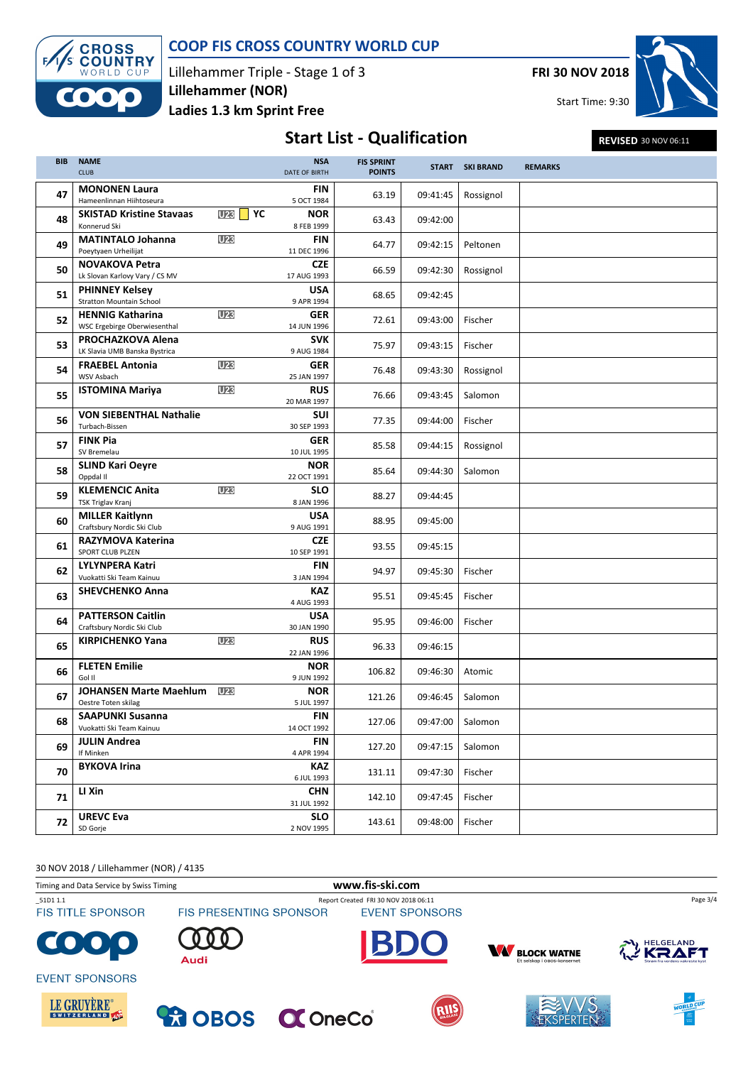

BIB NAME CLUB

 $\sqrt{ }$ 

### COOP FIS CROSS COUNTRY WORLD CUP

NSA DATE OF BIRTH

Lillehammer Triple - Stage 1 of 3 Ladies 1.3 km Sprint Free Lillehammer (NOR)

FRI 30 NOV 2018

# **Start List - Qualification** FIS SPRINT

S SPRINT<br>POINTS START

|           | Start Time: 9:30     |
|-----------|----------------------|
|           | REVISED 30 NOV 06:11 |
| SKI BRAND | <b>REMARKS</b>       |
| Rossignol |                      |
|           |                      |
| Peltonen  |                      |

| 47 | <b>MONONEN Laura</b><br>Hameenlinnan Hiihtoseura          |                                     | FIN<br>5 OCT 1984         | 63.19  | 09:41:45 | Rossignol |  |
|----|-----------------------------------------------------------|-------------------------------------|---------------------------|--------|----------|-----------|--|
| 48 | <b>SKISTAD Kristine Stavaas</b><br>Konnerud Ski           | U <sub>23</sub><br>$\vert \vert$ YC | <b>NOR</b><br>8 FEB 1999  | 63.43  | 09:42:00 |           |  |
| 49 | <b>MATINTALO Johanna</b><br>Poeytyaen Urheilijat          | U <sub>23</sub>                     | <b>FIN</b><br>11 DEC 1996 | 64.77  | 09:42:15 | Peltonen  |  |
| 50 | <b>NOVAKOVA Petra</b><br>Lk Slovan Karlovy Vary / CS MV   |                                     | <b>CZE</b><br>17 AUG 1993 | 66.59  | 09:42:30 | Rossignol |  |
| 51 | <b>PHINNEY Kelsey</b><br><b>Stratton Mountain School</b>  |                                     | <b>USA</b><br>9 APR 1994  | 68.65  | 09:42:45 |           |  |
| 52 | <b>HENNIG Katharina</b><br>WSC Ergebirge Oberwiesenthal   | <b>U23</b>                          | <b>GER</b><br>14 JUN 1996 | 72.61  | 09:43:00 | Fischer   |  |
| 53 | <b>PROCHAZKOVA Alena</b><br>LK Slavia UMB Banska Bystrica |                                     | <b>SVK</b><br>9 AUG 1984  | 75.97  | 09:43:15 | Fischer   |  |
| 54 | <b>FRAEBEL Antonia</b><br>WSV Asbach                      | U <sub>23</sub>                     | <b>GER</b><br>25 JAN 1997 | 76.48  | 09:43:30 | Rossignol |  |
| 55 | <b>ISTOMINA Mariya</b>                                    | <b>U23</b>                          | <b>RUS</b><br>20 MAR 1997 | 76.66  | 09:43:45 | Salomon   |  |
| 56 | <b>VON SIEBENTHAL Nathalie</b><br>Turbach-Bissen          |                                     | <b>SUI</b><br>30 SEP 1993 | 77.35  | 09:44:00 | Fischer   |  |
| 57 | <b>FINK Pia</b><br>SV Bremelau                            |                                     | <b>GER</b><br>10 JUL 1995 | 85.58  | 09:44:15 | Rossignol |  |
| 58 | <b>SLIND Kari Oeyre</b><br>Oppdal II                      |                                     | <b>NOR</b><br>22 OCT 1991 | 85.64  | 09:44:30 | Salomon   |  |
| 59 | <b>KLEMENCIC Anita</b><br><b>TSK Triglav Kranj</b>        | <b>U23</b>                          | <b>SLO</b><br>8 JAN 1996  | 88.27  | 09:44:45 |           |  |
| 60 | <b>MILLER Kaitlynn</b><br>Craftsbury Nordic Ski Club      |                                     | <b>USA</b><br>9 AUG 1991  | 88.95  | 09:45:00 |           |  |
| 61 | <b>RAZYMOVA Katerina</b><br>SPORT CLUB PLZEN              |                                     | <b>CZE</b><br>10 SEP 1991 | 93.55  | 09:45:15 |           |  |
| 62 | <b>LYLYNPERA Katri</b><br>Vuokatti Ski Team Kainuu        |                                     | <b>FIN</b><br>3 JAN 1994  | 94.97  | 09:45:30 | Fischer   |  |
| 63 | <b>SHEVCHENKO Anna</b>                                    |                                     | <b>KAZ</b><br>4 AUG 1993  | 95.51  | 09:45:45 | Fischer   |  |
| 64 | <b>PATTERSON Caitlin</b><br>Craftsbury Nordic Ski Club    |                                     | <b>USA</b><br>30 JAN 1990 | 95.95  | 09:46:00 | Fischer   |  |
| 65 | <b>KIRPICHENKO Yana</b>                                   | U <sub>23</sub>                     | <b>RUS</b><br>22 JAN 1996 | 96.33  | 09:46:15 |           |  |
| 66 | <b>FLETEN Emilie</b><br>Gol II                            |                                     | <b>NOR</b><br>9 JUN 1992  | 106.82 | 09:46:30 | Atomic    |  |
| 67 | <b>JOHANSEN Marte Maehlum</b><br>Oestre Toten skilag      | <b>U23</b>                          | <b>NOR</b><br>5 JUL 1997  | 121.26 | 09:46:45 | Salomon   |  |
| 68 | <b>SAAPUNKI Susanna</b><br>Vuokatti Ski Team Kainuu       |                                     | <b>FIN</b><br>14 OCT 1992 | 127.06 | 09:47:00 | Salomon   |  |
| 69 | <b>JULIN Andrea</b><br>If Minken                          |                                     | <b>FIN</b><br>4 APR 1994  | 127.20 | 09:47:15 | Salomon   |  |
| 70 | <b>BYKOVA Irina</b>                                       |                                     | <b>KAZ</b><br>6 JUL 1993  | 131.11 | 09:47:30 | Fischer   |  |
| 71 | LI Xin                                                    |                                     | <b>CHN</b><br>31 JUL 1992 | 142.10 | 09:47:45 | Fischer   |  |
| 72 | <b>UREVC Eva</b><br>SD Gorje                              |                                     | <b>SLO</b><br>2 NOV 1995  | 143.61 | 09:48:00 | Fischer   |  |